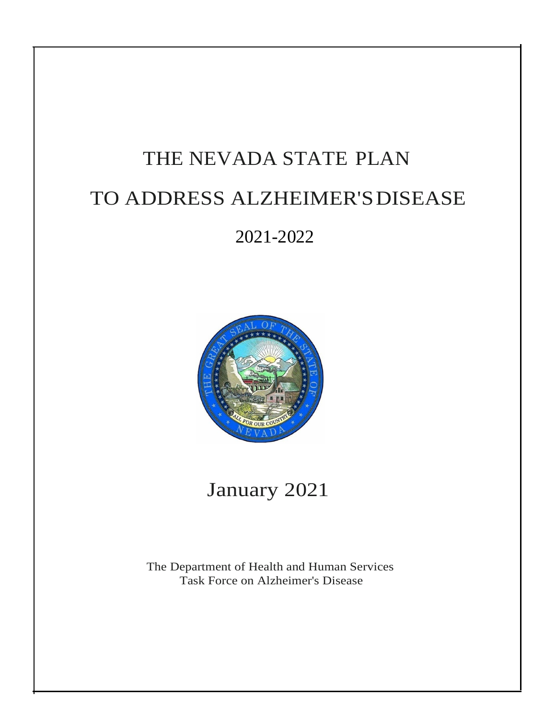# THE NEVADA STATE PLAN TO ADDRESS ALZHEIMER'SDISEASE

2021-2022



## January 2021

The Department of Health and Human Services Task Force on Alzheimer's Disease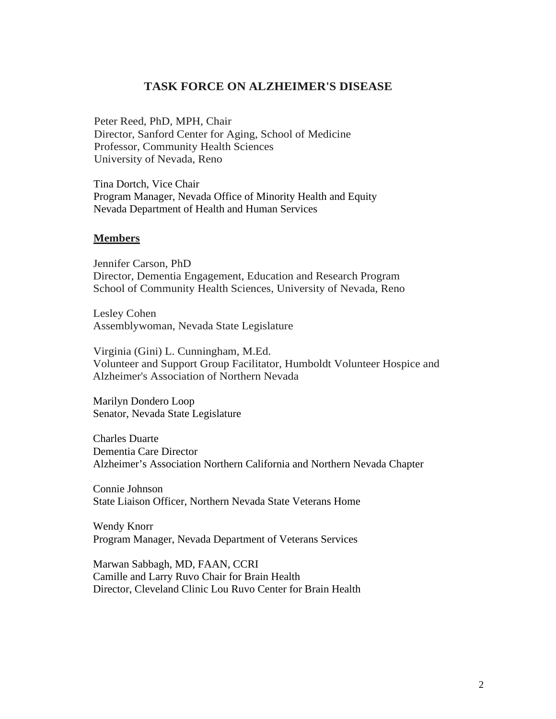## **TASK FORCE ON ALZHEIMER'S DISEASE**

Peter Reed, PhD, MPH, Chair Director, Sanford Center for Aging, School of Medicine Professor, Community Health Sciences University of Nevada, Reno

Tina Dortch, Vice Chair Program Manager, Nevada Office of Minority Health and Equity Nevada Department of Health and Human Services

#### **Members**

Jennifer Carson, PhD Director, Dementia Engagement, Education and Research Program School of Community Health Sciences, University of Nevada, Reno

Lesley Cohen Assemblywoman, Nevada State Legislature

Virginia (Gini) L. Cunningham, M.Ed. Volunteer and Support Group Facilitator, Humboldt Volunteer Hospice and Alzheimer's Association of Northern Nevada

Marilyn Dondero Loop Senator, Nevada State Legislature

Charles Duarte Dementia Care Director Alzheimer's Association Northern California and Northern Nevada Chapter

Connie Johnson State Liaison Officer, Northern Nevada State Veterans Home

Wendy Knorr Program Manager, Nevada Department of Veterans Services

Marwan Sabbagh, MD, FAAN, CCRI Camille and Larry Ruvo Chair for Brain Health Director, Cleveland Clinic Lou Ruvo Center for Brain Health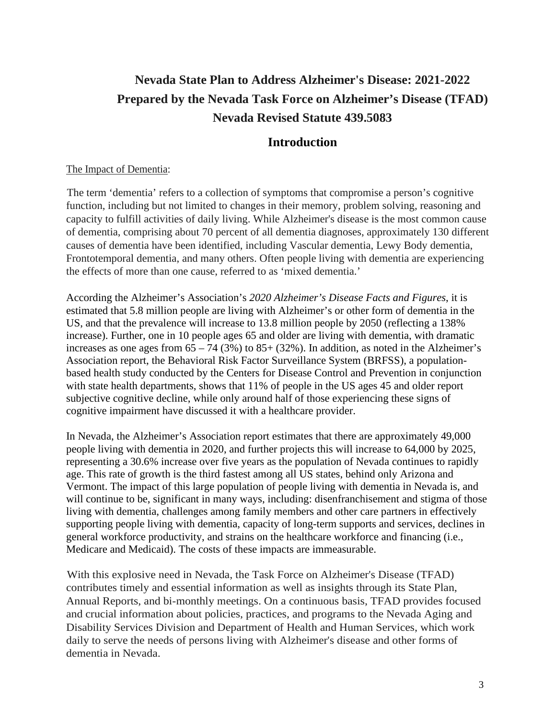## **Nevada State Plan to Address Alzheimer's Disease: 2021-2022 Prepared by the Nevada Task Force on Alzheimer's Disease (TFAD) Nevada Revised Statute 439.5083**

## **Introduction**

## The Impact of Dementia:

The term 'dementia' refers to a collection of symptoms that compromise a person's cognitive function, including but not limited to changes in their memory, problem solving, reasoning and capacity to fulfill activities of daily living. While Alzheimer's disease is the most common cause of dementia, comprising about 70 percent of all dementia diagnoses, approximately 130 different causes of dementia have been identified, including Vascular dementia, Lewy Body dementia, Frontotemporal dementia, and many others. Often people living with dementia are experiencing the effects of more than one cause, referred to as 'mixed dementia.'

According the Alzheimer's Association's *2020 Alzheimer's Disease Facts and Figures*, it is estimated that 5.8 million people are living with Alzheimer's or other form of dementia in the US, and that the prevalence will increase to 13.8 million people by 2050 (reflecting a 138% increase). Further, one in 10 people ages 65 and older are living with dementia, with dramatic increases as one ages from  $65 - 74 (3%)$  to  $85+ (32%)$ . In addition, as noted in the Alzheimer's Association report, the Behavioral Risk Factor Surveillance System (BRFSS), a populationbased health study conducted by the Centers for Disease Control and Prevention in conjunction with state health departments, shows that 11% of people in the US ages 45 and older report subjective cognitive decline, while only around half of those experiencing these signs of cognitive impairment have discussed it with a healthcare provider.

In Nevada, the Alzheimer's Association report estimates that there are approximately 49,000 people living with dementia in 2020, and further projects this will increase to 64,000 by 2025, representing a 30.6% increase over five years as the population of Nevada continues to rapidly age. This rate of growth is the third fastest among all US states, behind only Arizona and Vermont. The impact of this large population of people living with dementia in Nevada is, and will continue to be, significant in many ways, including: disenfranchisement and stigma of those living with dementia, challenges among family members and other care partners in effectively supporting people living with dementia, capacity of long-term supports and services, declines in general workforce productivity, and strains on the healthcare workforce and financing (i.e., Medicare and Medicaid). The costs of these impacts are immeasurable.

With this explosive need in Nevada, the Task Force on Alzheimer's Disease (TFAD) contributes timely and essential information as well as insights through its State Plan, Annual Reports, and bi-monthly meetings. On a continuous basis, TFAD provides focused and crucial information about policies, practices, and programs to the Nevada Aging and Disability Services Division and Department of Health and Human Services, which work daily to serve the needs of persons living with Alzheimer's disease and other forms of dementia in Nevada.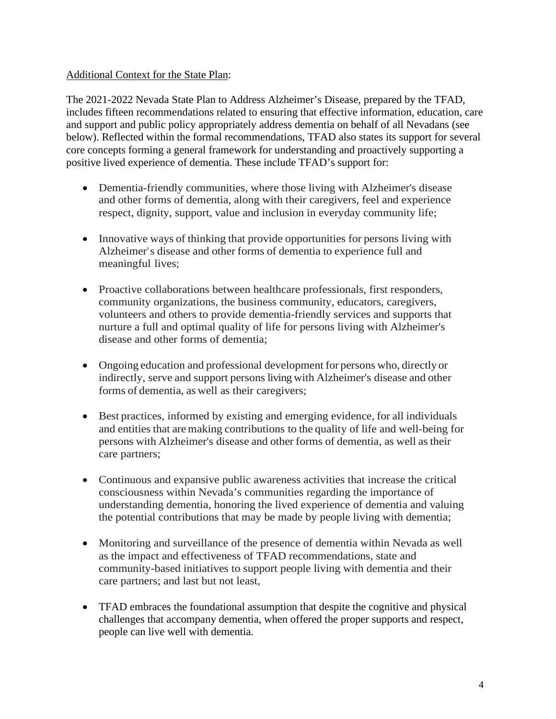## Additional Context for the State Plan:

The 2021-2022 Nevada State Plan to Address Alzheimer's Disease, prepared by the TFAD, includes fifteen recommendations related to ensuring that effective information, education, care and support and public policy appropriately address dementia on behalf of all Nevadans (see below). Reflected within the formal recommendations, TFAD also states its support for several core concepts forming a general framework for understanding and proactively supporting a positive lived experience of dementia. These include TFAD's support for:

- Dementia-friendly communities, where those living with Alzheimer's disease and other forms of dementia, along with their caregivers, feel and experience respect, dignity, support, value and inclusion in everyday community life;
- Innovative ways of thinking that provide opportunities for persons living with Alzheimer's disease and other forms of dementia to experience full and meaningful lives;
- Proactive collaborations between healthcare professionals, first responders, community organizations, the business community, educators, caregivers, volunteers and others to provide dementia-friendly services and supports that nurture a full and optimal quality of life for persons living with Alzheimer's disease and other forms of dementia;
- Ongoing education and professional development for persons who, directly or indirectly, serve and support persons living with Alzheimer's disease and other forms of dementia, as well as their caregivers;
- Best practices, informed by existing and emerging evidence, for all individuals and entitiesthat are making contributions to the quality of life and well-being for persons with Alzheimer's disease and other forms of dementia, as well astheir care partners;
- Continuous and expansive public awareness activities that increase the critical consciousness within Nevada's communities regarding the importance of understanding dementia, honoring the lived experience of dementia and valuing the potential contributions that may be made by people living with dementia;
- Monitoring and surveillance of the presence of dementia within Nevada as well as the impact and effectiveness of TFAD recommendations, state and community-based initiatives to support people living with dementia and their care partners; and last but not least,
- TFAD embraces the foundational assumption that despite the cognitive and physical challenges that accompany dementia, when offered the proper supports and respect, people can live well with dementia.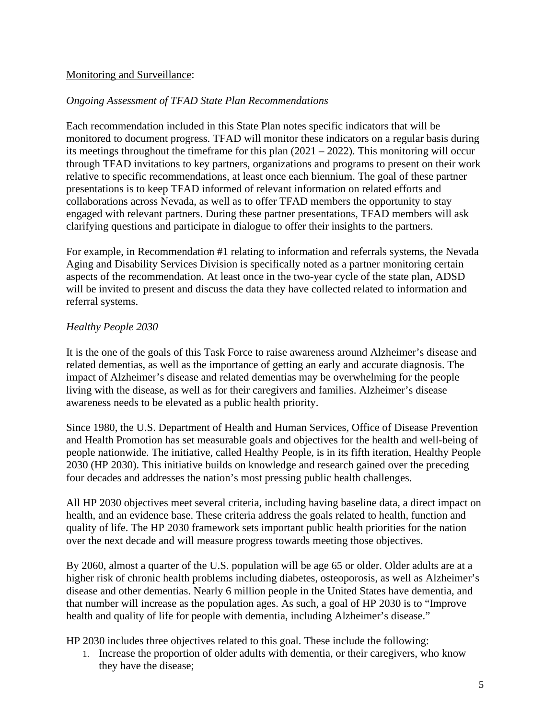## Monitoring and Surveillance:

#### *Ongoing Assessment of TFAD State Plan Recommendations*

Each recommendation included in this State Plan notes specific indicators that will be monitored to document progress. TFAD will monitor these indicators on a regular basis during its meetings throughout the timeframe for this plan (2021 – 2022). This monitoring will occur through TFAD invitations to key partners, organizations and programs to present on their work relative to specific recommendations, at least once each biennium. The goal of these partner presentations is to keep TFAD informed of relevant information on related efforts and collaborations across Nevada, as well as to offer TFAD members the opportunity to stay engaged with relevant partners. During these partner presentations, TFAD members will ask clarifying questions and participate in dialogue to offer their insights to the partners.

For example, in Recommendation #1 relating to information and referrals systems, the Nevada Aging and Disability Services Division is specifically noted as a partner monitoring certain aspects of the recommendation. At least once in the two-year cycle of the state plan, ADSD will be invited to present and discuss the data they have collected related to information and referral systems.

## *Healthy People 2030*

It is the one of the goals of this Task Force to raise awareness around Alzheimer's disease and related dementias, as well as the importance of getting an early and accurate diagnosis. The impact of Alzheimer's disease and related dementias may be overwhelming for the people living with the disease, as well as for their caregivers and families. Alzheimer's disease awareness needs to be elevated as a public health priority.

Since 1980, the U.S. Department of Health and Human Services, Office of Disease Prevention and Health Promotion has set measurable goals and objectives for the health and well-being of people nationwide. The initiative, called Healthy People, is in its fifth iteration, Healthy People 2030 (HP 2030). This initiative builds on knowledge and research gained over the preceding four decades and addresses the nation's most pressing public health challenges.

All HP 2030 objectives meet several criteria, including having baseline data, a direct impact on health, and an evidence base. These criteria address the goals related to health, function and quality of life. The HP 2030 framework sets important public health priorities for the nation over the next decade and will measure progress towards meeting those objectives.

By 2060, almost a quarter of the U.S. population will be age 65 or older. Older adults are at a higher risk of chronic health problems including diabetes, osteoporosis, as well as Alzheimer's disease and other dementias. Nearly 6 million people in the United States have dementia, and that number will increase as the population ages. As such, a goal of HP 2030 is to "Improve health and quality of life for people with dementia, including Alzheimer's disease."

HP 2030 includes three objectives related to this goal. These include the following:

1. Increase the proportion of older adults with dementia, or their caregivers, who know they have the disease;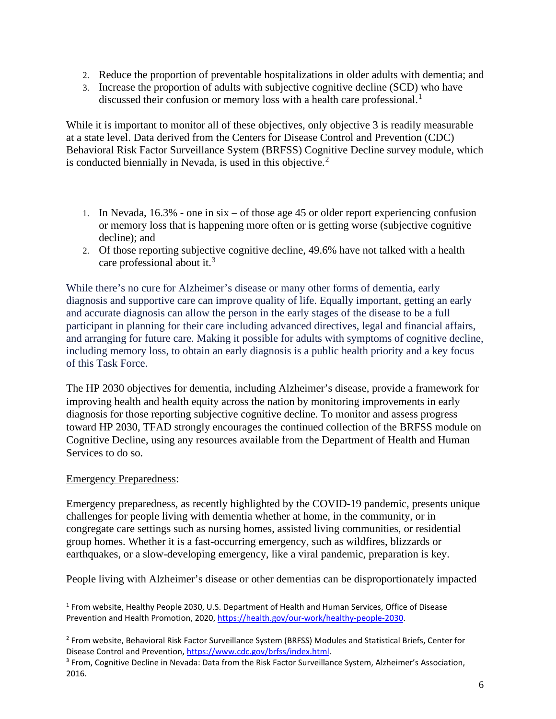- 2. Reduce the proportion of preventable hospitalizations in older adults with dementia; and
- 3. Increase the proportion of adults with subjective cognitive decline (SCD) who have discussed their confusion or memory loss with a health care professional.<sup>[1](#page-5-0)</sup>

While it is important to monitor all of these objectives, only objective 3 is readily measurable at a state level. Data derived from the Centers for Disease Control and Prevention (CDC) Behavioral Risk Factor Surveillance System (BRFSS) Cognitive Decline survey module, which is conducted biennially in Nevada, is used in this objective. $2^2$  $2^2$ 

- 1. In Nevada, 16.3% one in six of those age 45 or older report experiencing confusion or memory loss that is happening more often or is getting worse (subjective cognitive decline); and
- 2. Of those reporting subjective cognitive decline, 49.6% have not talked with a health care professional about it.<sup>[3](#page-5-2)</sup>

While there's no cure for Alzheimer's disease or many other forms of dementia, early diagnosis and supportive care can improve quality of life. Equally important, getting an early and accurate diagnosis can allow the person in the early stages of the disease to be a full participant in planning for their care including advanced directives, legal and financial affairs, and arranging for future care. Making it possible for adults with symptoms of cognitive decline, including memory loss, to obtain an early diagnosis is a public health priority and a key focus of this Task Force.

The HP 2030 objectives for dementia, including Alzheimer's disease, provide a framework for improving health and health equity across the nation by monitoring improvements in early diagnosis for those reporting subjective cognitive decline. To monitor and assess progress toward HP 2030, TFAD strongly encourages the continued collection of the BRFSS module on Cognitive Decline, using any resources available from the Department of Health and Human Services to do so.

## Emergency Preparedness:

Emergency preparedness, as recently highlighted by the COVID-19 pandemic, presents unique challenges for people living with dementia whether at home, in the community, or in congregate care settings such as nursing homes, assisted living communities, or residential group homes. Whether it is a fast-occurring emergency, such as wildfires, blizzards or earthquakes, or a slow-developing emergency, like a viral pandemic, preparation is key.

People living with Alzheimer's disease or other dementias can be disproportionately impacted

<span id="page-5-0"></span><sup>1</sup> From website, Healthy People 2030, U.S. Department of Health and Human Services, Office of Disease Prevention and Health Promotion, 2020[, https://health.gov/our-work/healthy-people-2030.](https://health.gov/our-work/healthy-people-2030)

<span id="page-5-1"></span><sup>2</sup> From website, Behavioral Risk Factor Surveillance System (BRFSS) Modules and Statistical Briefs, Center for Disease Control and Prevention[, https://www.cdc.gov/brfss/index.html.](https://www.cdc.gov/brfss/index.html)<br><sup>3</sup> From, Cognitive Decline in Nevada: Data from the Risk Factor Surveillance System, Alzheimer's Association,

<span id="page-5-2"></span><sup>2016.</sup>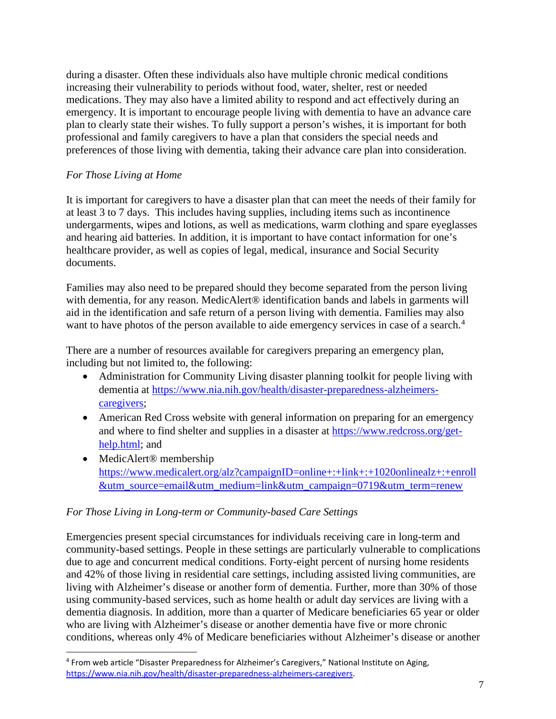during a disaster. Often these individuals also have multiple chronic medical conditions increasing their vulnerability to periods without food, water, shelter, rest or needed medications. They may also have a limited ability to respond and act effectively during an emergency. It is important to encourage people living with dementia to have an advance care plan to clearly state their wishes. To fully support a person's wishes, it is important for both professional and family caregivers to have a plan that considers the special needs and preferences of those living with dementia, taking their advance care plan into consideration.

## *For Those Living at Home*

It is important for caregivers to have a disaster plan that can meet the needs of their family for at least 3 to 7 days. This includes having supplies, including items such as incontinence undergarments, wipes and lotions, as well as medications, warm clothing and spare eyeglasses and hearing aid batteries. In addition, it is important to have contact information for one's healthcare provider, as well as copies of legal, medical, insurance and Social Security documents.

Families may also need to be prepared should they become separated from the person living with dementia, for any reason. MedicAlert<sup>®</sup> identification bands and labels in garments will aid in the identification and safe return of a person living with dementia. Families may also want to have photos of the person available to aide emergency services in case of a search.<sup>[4](#page-6-0)</sup>

There are a number of resources available for caregivers preparing an emergency plan, including but not limited to, the following:

- Administration for Community Living disaster planning toolkit for people living with dementia at [https://www.nia.nih.gov/health/disaster-preparedness-alzheimers](https://www.nia.nih.gov/health/disaster-preparedness-alzheimers-caregivers)[caregivers;](https://www.nia.nih.gov/health/disaster-preparedness-alzheimers-caregivers)
- American Red Cross website with general information on preparing for an emergency and where to find shelter and supplies in a disaster at [https://www.redcross.org/get](https://www.redcross.org/get-help.html)[help.html;](https://www.redcross.org/get-help.html) and
- MedicAlert<sup>®</sup> membership [https://www.medicalert.org/alz?campaignID=online+:+link+:+1020onlinealz+:+enroll](https://www.medicalert.org/alz?campaignID=online+:+link+:+1020onlinealz+:+enroll&utm_source=email&utm_medium=link&utm_campaign=0719&utm_term=renew) [&utm\\_source=email&utm\\_medium=link&utm\\_campaign=0719&utm\\_term=renew](https://www.medicalert.org/alz?campaignID=online+:+link+:+1020onlinealz+:+enroll&utm_source=email&utm_medium=link&utm_campaign=0719&utm_term=renew)

#### *For Those Living in Long-term or Community-based Care Settings*

Emergencies present special circumstances for individuals receiving care in long-term and community-based settings. People in these settings are particularly vulnerable to complications due to age and concurrent medical conditions. Forty-eight percent of nursing home residents and 42% of those living in residential care settings, including assisted living communities, are living with Alzheimer's disease or another form of dementia. Further, more than 30% of those using community-based services, such as home health or adult day services are living with a dementia diagnosis. In addition, more than a quarter of Medicare beneficiaries 65 year or older who are living with Alzheimer's disease or another dementia have five or more chronic conditions, whereas only 4% of Medicare beneficiaries without Alzheimer's disease or another

<span id="page-6-0"></span><sup>4</sup> From web article "Disaster Preparedness for Alzheimer's Caregivers," National Institute on Aging, [https://www.nia.nih.gov/health/disaster-preparedness-alzheimers-caregivers.](https://www.nia.nih.gov/health/disaster-preparedness-alzheimers-caregivers)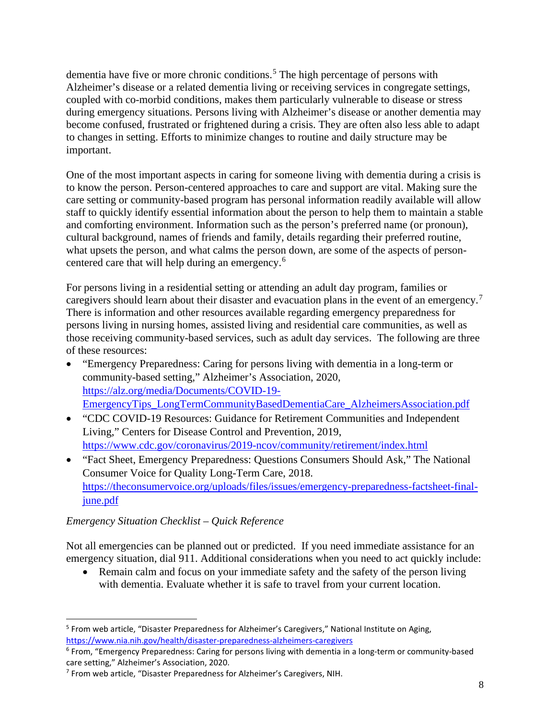dementia have five or more chronic conditions.<sup>[5](#page-7-0)</sup> The high percentage of persons with Alzheimer's disease or a related dementia living or receiving services in congregate settings, coupled with co-morbid conditions, makes them particularly vulnerable to disease or stress during emergency situations. Persons living with Alzheimer's disease or another dementia may become confused, frustrated or frightened during a crisis. They are often also less able to adapt to changes in setting. Efforts to minimize changes to routine and daily structure may be important.

One of the most important aspects in caring for someone living with dementia during a crisis is to know the person. Person-centered approaches to care and support are vital. Making sure the care setting or community-based program has personal information readily available will allow staff to quickly identify essential information about the person to help them to maintain a stable and comforting environment. Information such as the person's preferred name (or pronoun), cultural background, names of friends and family, details regarding their preferred routine, what upsets the person, and what calms the person down, are some of the aspects of personcentered care that will help during an emergency.[6](#page-7-1)

For persons living in a residential setting or attending an adult day program, families or caregivers should learn about their disaster and evacuation plans in the event of an emergency.<sup>[7](#page-7-2)</sup> There is information and other resources available regarding emergency preparedness for persons living in nursing homes, assisted living and residential care communities, as well as those receiving community-based services, such as adult day services. The following are three of these resources:

- "Emergency Preparedness: Caring for persons living with dementia in a long-term or community-based setting," Alzheimer's Association, 2020, [https://alz.org/media/Documents/COVID-19-](https://alz.org/media/Documents/COVID-19-EmergencyTips_LongTermCommunityBasedDementiaCare_AlzheimersAssociation.pdf) [EmergencyTips\\_LongTermCommunityBasedDementiaCare\\_AlzheimersAssociation.pdf](https://alz.org/media/Documents/COVID-19-EmergencyTips_LongTermCommunityBasedDementiaCare_AlzheimersAssociation.pdf)
- "CDC COVID-19 Resources: Guidance for Retirement Communities and Independent Living," Centers for Disease Control and Prevention, 2019, <https://www.cdc.gov/coronavirus/2019-ncov/community/retirement/index.html>
- "Fact Sheet, Emergency Preparedness: Questions Consumers Should Ask," The National Consumer Voice for Quality Long-Term Care, 2018. [https://theconsumervoice.org/uploads/files/issues/emergency-preparedness-factsheet-final](https://theconsumervoice.org/uploads/files/issues/emergency-preparedness-factsheet-final-june.pdf)[june.pdf](https://theconsumervoice.org/uploads/files/issues/emergency-preparedness-factsheet-final-june.pdf)

## *Emergency Situation Checklist – Quick Reference*

Not all emergencies can be planned out or predicted. If you need immediate assistance for an emergency situation, dial 911. Additional considerations when you need to act quickly include:

• Remain calm and focus on your immediate safety and the safety of the person living with dementia. Evaluate whether it is safe to travel from your current location.

<span id="page-7-0"></span><sup>&</sup>lt;sup>5</sup> From web article, "Disaster Preparedness for Alzheimer's Caregivers," National Institute on Aging, <https://www.nia.nih.gov/health/disaster-preparedness-alzheimers-caregivers>

<span id="page-7-1"></span><sup>6</sup> From, "Emergency Preparedness: Caring for persons living with dementia in a long-term or community-based care setting," Alzheimer's Association, 2020.

<span id="page-7-2"></span><sup>7</sup> From web article, "Disaster Preparedness for Alzheimer's Caregivers, NIH.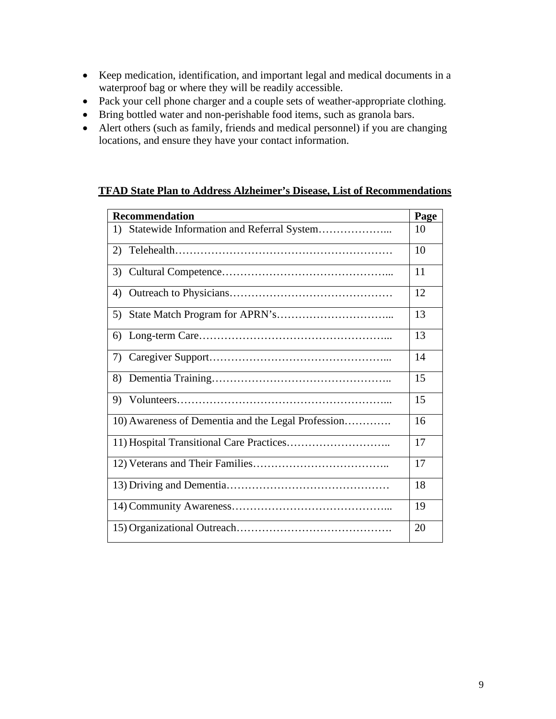- Keep medication, identification, and important legal and medical documents in a waterproof bag or where they will be readily accessible.
- Pack your cell phone charger and a couple sets of weather-appropriate clothing.
- Bring bottled water and non-perishable food items, such as granola bars.
- Alert others (such as family, friends and medical personnel) if you are changing locations, and ensure they have your contact information.

## **TFAD State Plan to Address Alzheimer's Disease, List of Recommendations**

| <b>Recommendation</b>                              | Page |  |
|----------------------------------------------------|------|--|
| Statewide Information and Referral System<br>1)    | 10   |  |
| (2)                                                | 10   |  |
| 3)                                                 | 11   |  |
| $\left( \frac{1}{2} \right)$                       | 12   |  |
| 5)                                                 | 13   |  |
| 6)                                                 | 13   |  |
| 7)                                                 | 14   |  |
| 8)                                                 | 15   |  |
| 9)                                                 | 15   |  |
| 10) Awareness of Dementia and the Legal Profession | 16   |  |
| 17                                                 |      |  |
| 17                                                 |      |  |
| 18                                                 |      |  |
| 19                                                 |      |  |
| 20                                                 |      |  |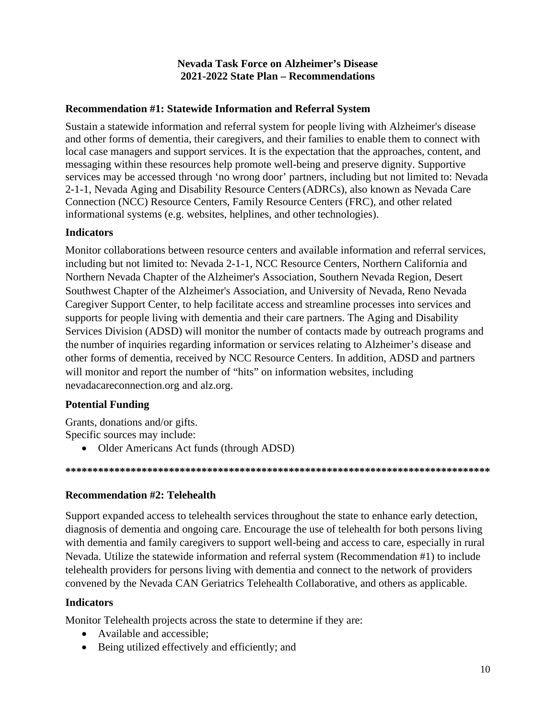## **Nevada Task Force on Alzheimer's Disease** 2021-2022 State Plan – Recommendations

## **Recommendation #1: Statewide Information and Referral System**

Sustain a statewide information and referral system for people living with Alzheimer's disease and other forms of dementia, their caregivers, and their families to enable them to connect with local case managers and support services. It is the expectation that the approaches, content, and messaging within these resources help promote well-being and preserve dignity. Supportive services may be accessed through 'no wrong door' partners, including but not limited to: Nevada 2-1-1, Nevada Aging and Disability Resource Centers (ADRCs), also known as Nevada Care Connection (NCC) Resource Centers, Family Resource Centers (FRC), and other related informational systems (e.g. websites, helplines, and other technologies).

## **Indicators**

Monitor collaborations between resource centers and available information and referral services, including but not limited to: Nevada 2-1-1, NCC Resource Centers, Northern California and Northern Nevada Chapter of the Alzheimer's Association, Southern Nevada Region, Desert Southwest Chapter of the Alzheimer's Association, and University of Nevada, Reno Nevada Caregiver Support Center, to help facilitate access and streamline processes into services and supports for people living with dementia and their care partners. The Aging and Disability Services Division (ADSD) will monitor the number of contacts made by outreach programs and the number of inquiries regarding information or services relating to Alzheimer's disease and other forms of dementia, received by NCC Resource Centers. In addition, ADSD and partners will monitor and report the number of "hits" on information websites, including nevadacareconnection.org and alz.org.

## **Potential Funding**

Grants, donations and/or gifts. Specific sources may include:

• Older Americans Act funds (through ADSD)

#### 

#### **Recommendation #2: Telehealth**

Support expanded access to telehealth services throughout the state to enhance early detection, diagnosis of dementia and ongoing care. Encourage the use of telehealth for both persons living with dementia and family caregivers to support well-being and access to care, especially in rural Nevada. Utilize the statewide information and referral system (Recommendation #1) to include telehealth providers for persons living with dementia and connect to the network of providers convened by the Nevada CAN Geriatrics Telehealth Collaborative, and others as applicable.

#### **Indicators**

Monitor Telehealth projects across the state to determine if they are:

- Available and accessible;
- Being utilized effectively and efficiently; and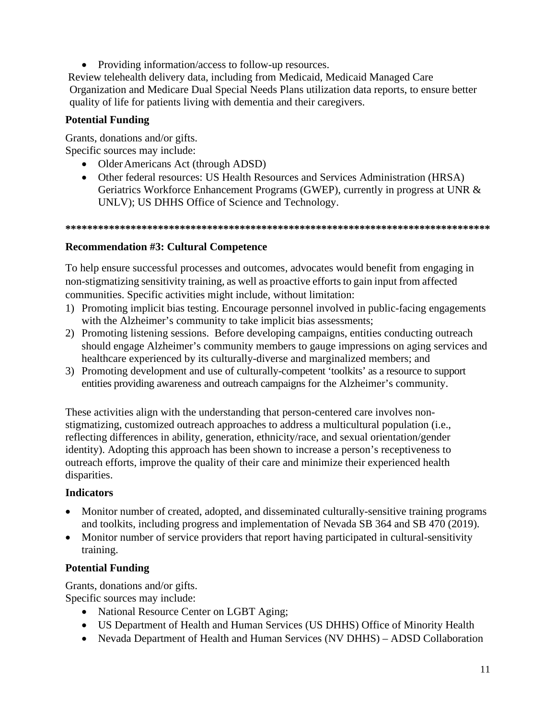• Providing information/access to follow-up resources.

Review telehealth delivery data, including from Medicaid, Medicaid Managed Care Organization and Medicare Dual Special Needs Plans utilization data reports, to ensure better quality of life for patients living with dementia and their caregivers.

## **Potential Funding**

Grants, donations and/or gifts. Specific sources may include:

- Older Americans Act (through ADSD)
- Other federal resources: US Health Resources and Services Administration (HRSA) Geriatrics Workforce Enhancement Programs (GWEP), currently in progress at UNR & UNLV); US DHHS Office of Science and Technology.

#### **\*\*\*\*\*\*\*\*\*\*\*\*\*\*\*\*\*\*\*\*\*\*\*\*\*\*\*\*\*\*\*\*\*\*\*\*\*\*\*\*\*\*\*\*\*\*\*\*\*\*\*\*\*\*\*\*\*\*\*\*\*\*\*\*\*\*\*\*\*\*\*\*\*\*\*\*\*\***

## **Recommendation #3: Cultural Competence**

To help ensure successful processes and outcomes, advocates would benefit from engaging in non-stigmatizing sensitivity training, as well as proactive efforts to gain input from affected communities. Specific activities might include, without limitation:

- 1) Promoting implicit bias testing. Encourage personnel involved in public-facing engagements with the Alzheimer's community to take implicit bias assessments;
- 2) Promoting listening sessions. Before developing campaigns, entities conducting outreach should engage Alzheimer's community members to gauge impressions on aging services and healthcare experienced by its culturally-diverse and marginalized members; and
- 3) Promoting development and use of culturally-competent 'toolkits' as a resource to support entities providing awareness and outreach campaigns for the Alzheimer's community.

These activities align with the understanding that person-centered care involves nonstigmatizing, customized outreach approaches to address a multicultural population (i.e., reflecting differences in ability, generation, ethnicity/race, and sexual orientation/gender identity). Adopting this approach has been shown to increase a person's receptiveness to outreach efforts, improve the quality of their care and minimize their experienced health disparities.

## **Indicators**

- Monitor number of created, adopted, and disseminated culturally-sensitive training programs and toolkits, including progress and implementation of Nevada SB 364 and SB 470 (2019).
- Monitor number of service providers that report having participated in cultural-sensitivity training.

## **Potential Funding**

Grants, donations and/or gifts. Specific sources may include:

- National Resource Center on LGBT Aging;
- US Department of Health and Human Services (US DHHS) Office of Minority Health
- Nevada Department of Health and Human Services (NV DHHS) ADSD Collaboration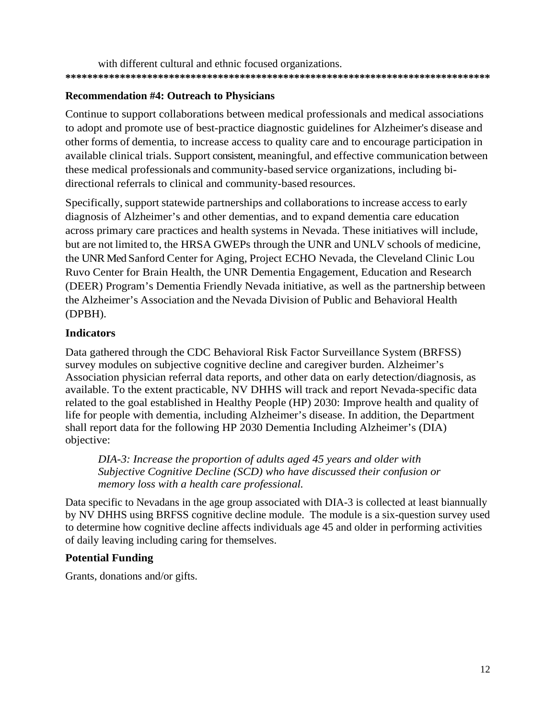with different cultural and ethnic focused organizations. **\*\*\*\*\*\*\*\*\*\*\*\*\*\*\*\*\*\*\*\*\*\*\*\*\*\*\*\*\*\*\*\*\*\*\*\*\*\*\*\*\*\*\*\*\*\*\*\*\*\*\*\*\*\*\*\*\*\*\*\*\*\*\*\*\*\*\*\*\*\*\*\*\*\*\*\*\*\***

## **Recommendation #4: Outreach to Physicians**

Continue to support collaborations between medical professionals and medical associations to adopt and promote use of best-practice diagnostic guidelines for Alzheimer's disease and other forms of dementia, to increase access to quality care and to encourage participation in available clinical trials. Support consistent, meaningful, and effective communication between these medical professionals and community-based service organizations, including bidirectional referrals to clinical and community-based resources.

Specifically, support statewide partnerships and collaborations to increase access to early diagnosis of Alzheimer's and other dementias, and to expand dementia care education across primary care practices and health systems in Nevada. These initiatives will include, but are not limited to, the HRSA GWEPs through the UNR and UNLV schools of medicine, the UNR Med Sanford Center for Aging, Project ECHO Nevada, the Cleveland Clinic Lou Ruvo Center for Brain Health, the UNR Dementia Engagement, Education and Research (DEER) Program's Dementia Friendly Nevada initiative, as well as the partnership between the Alzheimer's Association and the Nevada Division of Public and Behavioral Health (DPBH).

## **Indicators**

Data gathered through the CDC Behavioral Risk Factor Surveillance System (BRFSS) survey modules on subjective cognitive decline and caregiver burden. Alzheimer's Association physician referral data reports, and other data on early detection/diagnosis, as available. To the extent practicable, NV DHHS will track and report Nevada-specific data related to the goal established in Healthy People (HP) 2030: Improve health and quality of life for people with dementia, including Alzheimer's disease. In addition, the Department shall report data for the following HP 2030 Dementia Including Alzheimer's (DIA) objective:

*DIA-3: Increase the proportion of adults aged 45 years and older with Subjective Cognitive Decline (SCD) who have discussed their confusion or memory loss with a health care professional.*

Data specific to Nevadans in the age group associated with DIA-3 is collected at least biannually by NV DHHS using BRFSS cognitive decline module. The module is a six-question survey used to determine how cognitive decline affects individuals age 45 and older in performing activities of daily leaving including caring for themselves.

## **Potential Funding**

Grants, donations and/or gifts.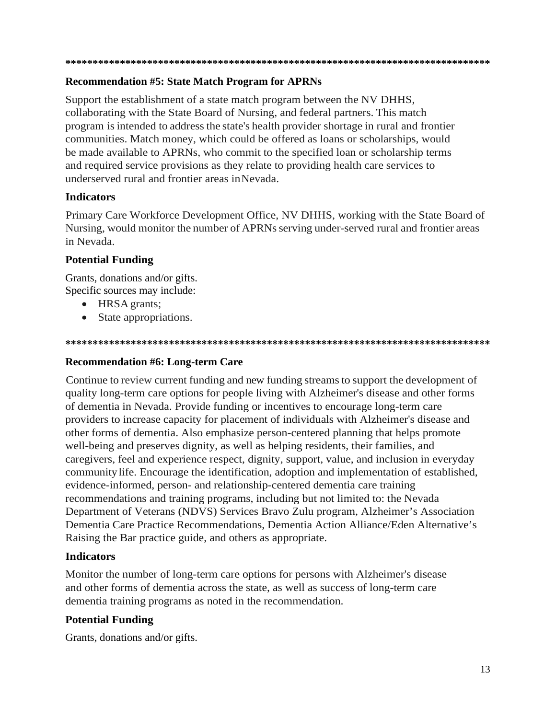#### 

## **Recommendation #5: State Match Program for APRNs**

Support the establishment of a state match program between the NV DHHS, collaborating with the State Board of Nursing, and federal partners. This match program is intended to address the state's health provider shortage in rural and frontier communities. Match money, which could be offered as loans or scholarships, would be made available to APRNs, who commit to the specified loan or scholarship terms and required service provisions as they relate to providing health care services to underserved rural and frontier areas in Nevada.

## **Indicators**

Primary Care Workforce Development Office, NV DHHS, working with the State Board of Nursing, would monitor the number of APRNs serving under-served rural and frontier areas in Nevada.

## **Potential Funding**

Grants, donations and/or gifts. Specific sources may include:

- HRSA grants;
- State appropriations.

#### 

## **Recommendation #6: Long-term Care**

Continue to review current funding and new funding streams to support the development of quality long-term care options for people living with Alzheimer's disease and other forms of dementia in Nevada. Provide funding or incentives to encourage long-term care providers to increase capacity for placement of individuals with Alzheimer's disease and other forms of dementia. Also emphasize person-centered planning that helps promote well-being and preserves dignity, as well as helping residents, their families, and caregivers, feel and experience respect, dignity, support, value, and inclusion in everyday community life. Encourage the identification, adoption and implementation of established, evidence-informed, person- and relationship-centered dementia care training recommendations and training programs, including but not limited to: the Nevada Department of Veterans (NDVS) Services Bravo Zulu program, Alzheimer's Association Dementia Care Practice Recommendations, Dementia Action Alliance/Eden Alternative's Raising the Bar practice guide, and others as appropriate.

## **Indicators**

Monitor the number of long-term care options for persons with Alzheimer's disease and other forms of dementia across the state, as well as success of long-term care dementia training programs as noted in the recommendation.

## **Potential Funding**

Grants, donations and/or gifts.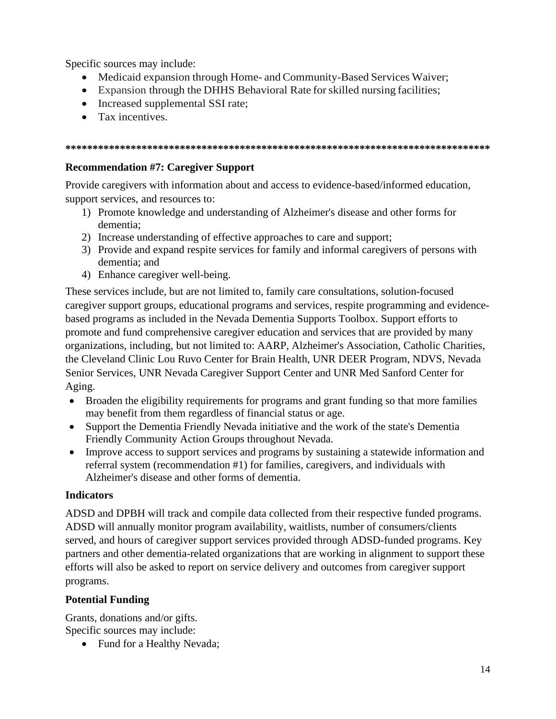Specific sources may include:

- Medicaid expansion through Home- and Community-Based Services Waiver;
- Expansion through the DHHS Behavioral Rate for skilled nursing facilities;
- Increased supplemental SSI rate;
- Tax incentives.

#### **\*\*\*\*\*\*\*\*\*\*\*\*\*\*\*\*\*\*\*\*\*\*\*\*\*\*\*\*\*\*\*\*\*\*\*\*\*\*\*\*\*\*\*\*\*\*\*\*\*\*\*\*\*\*\*\*\*\*\*\*\*\*\*\*\*\*\*\*\*\*\*\*\*\*\*\*\*\***

## **Recommendation #7: Caregiver Support**

Provide caregivers with information about and access to evidence-based/informed education, support services, and resources to:

- 1) Promote knowledge and understanding of Alzheimer's disease and other forms for dementia;
- 2) Increase understanding of effective approaches to care and support;
- 3) Provide and expand respite services for family and informal caregivers of persons with dementia; and
- 4) Enhance caregiver well-being.

These services include, but are not limited to, family care consultations, solution-focused caregiver support groups, educational programs and services, respite programming and evidencebased programs as included in the Nevada Dementia Supports Toolbox. Support efforts to promote and fund comprehensive caregiver education and services that are provided by many organizations, including, but not limited to: AARP, Alzheimer's Association, Catholic Charities, the Cleveland Clinic Lou Ruvo Center for Brain Health, UNR DEER Program, NDVS, Nevada Senior Services, UNR Nevada Caregiver Support Center and UNR Med Sanford Center for Aging.

- Broaden the eligibility requirements for programs and grant funding so that more families may benefit from them regardless of financial status or age.
- Support the Dementia Friendly Nevada initiative and the work of the state's Dementia Friendly Community Action Groups throughout Nevada.
- Improve access to support services and programs by sustaining a statewide information and referral system (recommendation #1) for families, caregivers, and individuals with Alzheimer's disease and other forms of dementia.

## **Indicators**

ADSD and DPBH will track and compile data collected from their respective funded programs. ADSD will annually monitor program availability, waitlists, number of consumers/clients served, and hours of caregiver support services provided through ADSD-funded programs. Key partners and other dementia-related organizations that are working in alignment to support these efforts will also be asked to report on service delivery and outcomes from caregiver support programs.

## **Potential Funding**

Grants, donations and/or gifts. Specific sources may include:

• Fund for a Healthy Nevada;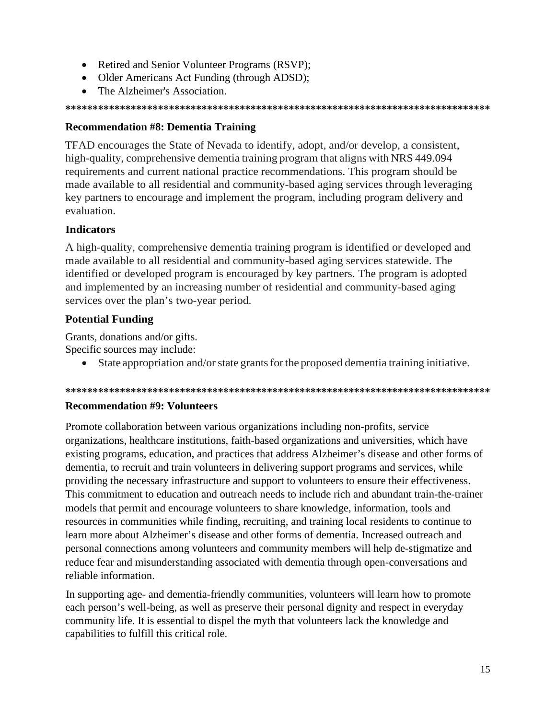- Retired and Senior Volunteer Programs (RSVP);
- Older Americans Act Funding (through ADSD);
- The Alzheimer's Association.

## **Recommendation #8: Dementia Training**

TFAD encourages the State of Nevada to identify, adopt, and/or develop, a consistent, high-quality, comprehensive dementia training program that aligns with NRS 449.094 requirements and current national practice recommendations. This program should be made available to all residential and community-based aging services through leveraging key partners to encourage and implement the program, including program delivery and evaluation.

## **Indicators**

A high-quality, comprehensive dementia training program is identified or developed and made available to all residential and community-based aging services statewide. The identified or developed program is encouraged by key partners. The program is adopted and implemented by an increasing number of residential and community-based aging services over the plan's two-year period.

## **Potential Funding**

Grants, donations and/or gifts.

Specific sources may include:

State appropriation and/or state grants for the proposed dementia training initiative.  $\bullet$ 

#### 

## **Recommendation #9: Volunteers**

Promote collaboration between various organizations including non-profits, service organizations, healthcare institutions, faith-based organizations and universities, which have existing programs, education, and practices that address Alzheimer's disease and other forms of dementia, to recruit and train volunteers in delivering support programs and services, while providing the necessary infrastructure and support to volunteers to ensure their effectiveness. This commitment to education and outreach needs to include rich and abundant train-the-trainer models that permit and encourage volunteers to share knowledge, information, tools and resources in communities while finding, recruiting, and training local residents to continue to learn more about Alzheimer's disease and other forms of dementia. Increased outreach and personal connections among volunteers and community members will help de-stigmatize and reduce fear and misunderstanding associated with dementia through open-conversations and reliable information.

In supporting age- and dementia-friendly communities, volunteers will learn how to promote each person's well-being, as well as preserve their personal dignity and respect in everyday community life. It is essential to dispel the myth that volunteers lack the knowledge and capabilities to fulfill this critical role.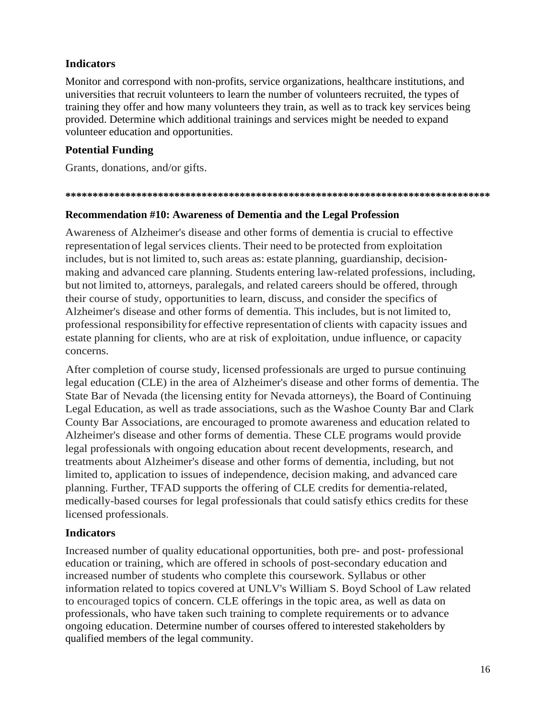## **Indicators**

Monitor and correspond with non-profits, service organizations, healthcare institutions, and universities that recruit volunteers to learn the number of volunteers recruited, the types of training they offer and how many volunteers they train, as well as to track key services being provided. Determine which additional trainings and services might be needed to expand volunteer education and opportunities.

## **Potential Funding**

Grants, donations, and/or gifts.

#### **\*\*\*\*\*\*\*\*\*\*\*\*\*\*\*\*\*\*\*\*\*\*\*\*\*\*\*\*\*\*\*\*\*\*\*\*\*\*\*\*\*\*\*\*\*\*\*\*\*\*\*\*\*\*\*\*\*\*\*\*\*\*\*\*\*\*\*\*\*\*\*\*\*\*\*\*\*\***

## **Recommendation #10: Awareness of Dementia and the Legal Profession**

Awareness of Alzheimer's disease and other forms of dementia is crucial to effective representation of legal services clients. Their need to be protected from exploitation includes, but is not limited to, such areas as: estate planning, guardianship, decisionmaking and advanced care planning. Students entering law-related professions, including, but not limited to, attorneys, paralegals, and related careers should be offered, through their course of study, opportunities to learn, discuss, and consider the specifics of Alzheimer's disease and other forms of dementia. This includes, but is not limited to, professional responsibilityfor effective representation of clients with capacity issues and estate planning for clients, who are at risk of exploitation, undue influence, or capacity concerns.

After completion of course study, licensed professionals are urged to pursue continuing legal education (CLE) in the area of Alzheimer's disease and other forms of dementia. The State Bar of Nevada (the licensing entity for Nevada attorneys), the Board of Continuing Legal Education, as well as trade associations, such as the Washoe County Bar and Clark County Bar Associations, are encouraged to promote awareness and education related to Alzheimer's disease and other forms of dementia. These CLE programs would provide legal professionals with ongoing education about recent developments, research, and treatments about Alzheimer's disease and other forms of dementia, including, but not limited to, application to issues of independence, decision making, and advanced care planning. Further, TFAD supports the offering of CLE credits for dementia-related, medically-based courses for legal professionals that could satisfy ethics credits for these licensed professionals.

## **Indicators**

Increased number of quality educational opportunities, both pre- and post- professional education or training, which are offered in schools of post-secondary education and increased number of students who complete this coursework. Syllabus or other information related to topics covered at UNLV's William S. Boyd School of Law related to encouraged topics of concern. CLE offerings in the topic area, as well as data on professionals, who have taken such training to complete requirements or to advance ongoing education. Determine number of courses offered to interested stakeholders by qualified members of the legal community.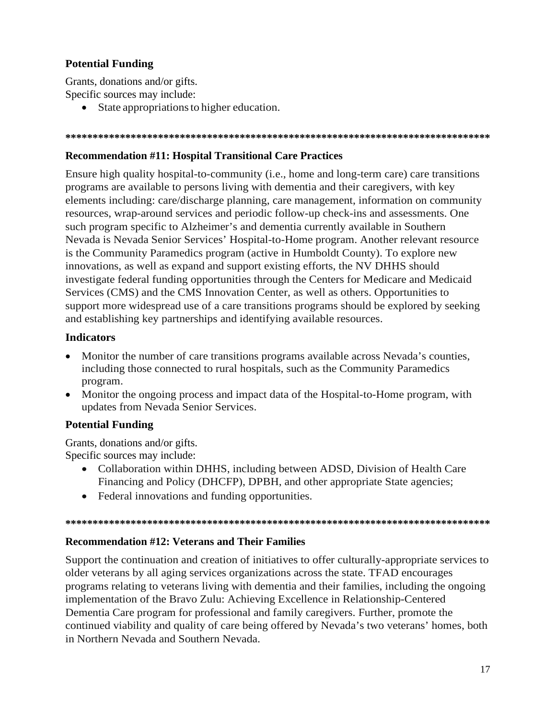## **Potential Funding**

Grants, donations and/or gifts. Specific sources may include:

• State appropriations to higher education.

#### 

## **Recommendation #11: Hospital Transitional Care Practices**

Ensure high quality hospital-to-community (i.e., home and long-term care) care transitions programs are available to persons living with dementia and their caregivers, with key elements including: care/discharge planning, care management, information on community resources, wrap-around services and periodic follow-up check-ins and assessments. One such program specific to Alzheimer's and dementia currently available in Southern Nevada is Nevada Senior Services' Hospital-to-Home program. Another relevant resource is the Community Paramedics program (active in Humboldt County). To explore new innovations, as well as expand and support existing efforts, the NV DHHS should investigate federal funding opportunities through the Centers for Medicare and Medicaid Services (CMS) and the CMS Innovation Center, as well as others. Opportunities to support more widespread use of a care transitions programs should be explored by seeking and establishing key partnerships and identifying available resources.

## **Indicators**

- Monitor the number of care transitions programs available across Nevada's counties, including those connected to rural hospitals, such as the Community Paramedics program.
- Monitor the ongoing process and impact data of the Hospital-to-Home program, with updates from Nevada Senior Services.

## **Potential Funding**

Grants, donations and/or gifts. Specific sources may include:

- Collaboration within DHHS, including between ADSD, Division of Health Care Financing and Policy (DHCFP), DPBH, and other appropriate State agencies;
- Federal innovations and funding opportunities.

#### 

## **Recommendation #12: Veterans and Their Families**

Support the continuation and creation of initiatives to offer culturally-appropriate services to older veterans by all aging services organizations across the state. TFAD encourages programs relating to veterans living with dementia and their families, including the ongoing implementation of the Bravo Zulu: Achieving Excellence in Relationship-Centered Dementia Care program for professional and family caregivers. Further, promote the continued viability and quality of care being offered by Nevada's two veterans' homes, both in Northern Nevada and Southern Nevada.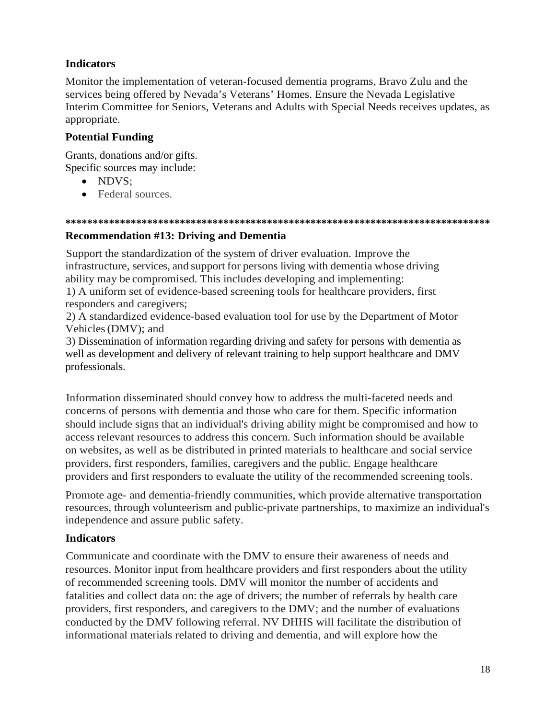## **Indicators**

Monitor the implementation of veteran-focused dementia programs, Bravo Zulu and the services being offered by Nevada's Veterans' Homes. Ensure the Nevada Legislative Interim Committee for Seniors, Veterans and Adults with Special Needs receives updates, as appropriate.

## **Potential Funding**

Grants, donations and/or gifts. Specific sources may include:

- NDVS:
- Federal sources.

#### **\*\*\*\*\*\*\*\*\*\*\*\*\*\*\*\*\*\*\*\*\*\*\*\*\*\*\*\*\*\*\*\*\*\*\*\*\*\*\*\*\*\*\*\*\*\*\*\*\*\*\*\*\*\*\*\*\*\*\*\*\*\*\*\*\*\*\*\*\*\*\*\*\*\*\*\*\*\***

## **Recommendation #13: Driving and Dementia**

Support the standardization of the system of driver evaluation. Improve the infrastructure, services, and support for persons living with dementia whose driving ability may be compromised. This includes developing and implementing:

1) A uniform set of evidence-based screening tools for healthcare providers, first responders and caregivers;

2) A standardized evidence-based evaluation tool for use by the Department of Motor Vehicles(DMV); and

3) Dissemination of information regarding driving and safety for persons with dementia as well as development and delivery of relevant training to help support healthcare and DMV professionals.

Information disseminated should convey how to address the multi-faceted needs and concerns of persons with dementia and those who care for them. Specific information should include signs that an individual's driving ability might be compromised and how to access relevant resources to address this concern. Such information should be available on websites, as well as be distributed in printed materials to healthcare and social service providers, first responders, families, caregivers and the public. Engage healthcare providers and first responders to evaluate the utility of the recommended screening tools.

Promote age- and dementia-friendly communities, which provide alternative transportation resources, through volunteerism and public-private partnerships, to maximize an individual's independence and assure public safety.

## **Indicators**

Communicate and coordinate with the DMV to ensure their awareness of needs and resources. Monitor input from healthcare providers and first responders about the utility of recommended screening tools. DMV will monitor the number of accidents and fatalities and collect data on: the age of drivers; the number of referrals by health care providers, first responders, and caregivers to the DMV; and the number of evaluations conducted by the DMV following referral. NV DHHS will facilitate the distribution of informational materials related to driving and dementia, and will explore how the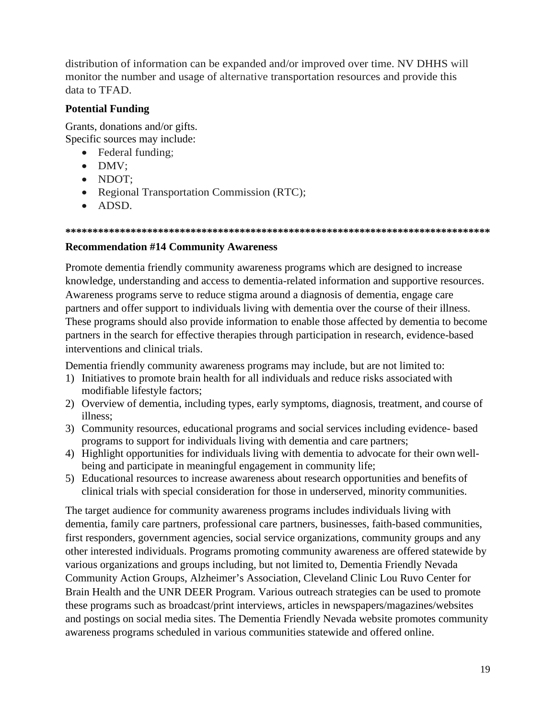distribution of information can be expanded and/or improved over time. NV DHHS will monitor the number and usage of alternative transportation resources and provide this data to TFAD.

## **Potential Funding**

Grants, donations and/or gifts. Specific sources may include:

- Federal funding;
- DMV;
- NDOT;
- Regional Transportation Commission (RTC);
- ADSD.

#### **\*\*\*\*\*\*\*\*\*\*\*\*\*\*\*\*\*\*\*\*\*\*\*\*\*\*\*\*\*\*\*\*\*\*\*\*\*\*\*\*\*\*\*\*\*\*\*\*\*\*\*\*\*\*\*\*\*\*\*\*\*\*\*\*\*\*\*\*\*\*\*\*\*\*\*\*\*\***

## **Recommendation #14 Community Awareness**

Promote dementia friendly community awareness programs which are designed to increase knowledge, understanding and access to dementia-related information and supportive resources. Awareness programs serve to reduce stigma around a diagnosis of dementia, engage care partners and offer support to individuals living with dementia over the course of their illness. These programs should also provide information to enable those affected by dementia to become partners in the search for effective therapies through participation in research, evidence-based interventions and clinical trials.

Dementia friendly community awareness programs may include, but are not limited to:

- 1) Initiatives to promote brain health for all individuals and reduce risks associated with modifiable lifestyle factors;
- 2) Overview of dementia, including types, early symptoms, diagnosis, treatment, and course of illness;
- 3) Community resources, educational programs and social services including evidence- based programs to support for individuals living with dementia and care partners;
- 4) Highlight opportunities for individuals living with dementia to advocate for their own wellbeing and participate in meaningful engagement in community life;
- 5) Educational resources to increase awareness about research opportunities and benefits of clinical trials with special consideration for those in underserved, minority communities.

The target audience for community awareness programs includes individuals living with dementia, family care partners, professional care partners, businesses, faith-based communities, first responders, government agencies, social service organizations, community groups and any other interested individuals. Programs promoting community awareness are offered statewide by various organizations and groups including, but not limited to, Dementia Friendly Nevada Community Action Groups, Alzheimer's Association, Cleveland Clinic Lou Ruvo Center for Brain Health and the UNR DEER Program. Various outreach strategies can be used to promote these programs such as broadcast/print interviews, articles in newspapers/magazines/websites and postings on social media sites. The Dementia Friendly Nevada website promotes community awareness programs scheduled in various communities statewide and offered online.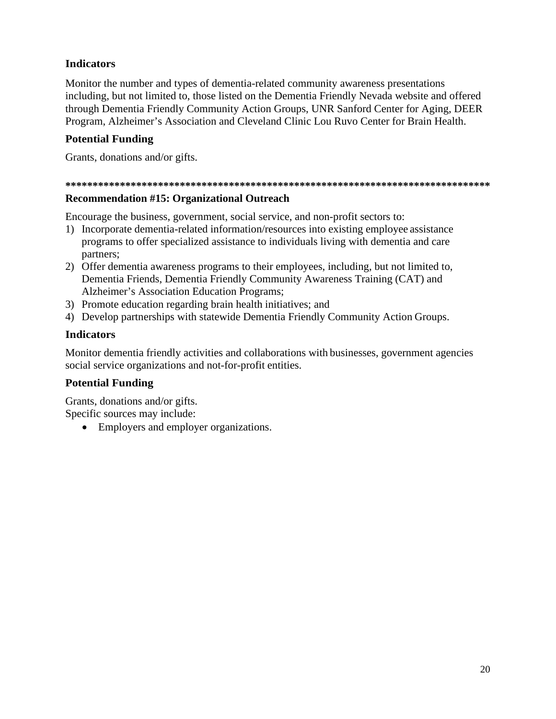## **Indicators**

Monitor the number and types of dementia-related community awareness presentations including, but not limited to, those listed on the Dementia Friendly Nevada website and offered through Dementia Friendly Community Action Groups, UNR Sanford Center for Aging, DEER Program, Alzheimer's Association and Cleveland Clinic Lou Ruvo Center for Brain Health.

## **Potential Funding**

Grants, donations and/or gifts.

#### 

## **Recommendation #15: Organizational Outreach**

Encourage the business, government, social service, and non-profit sectors to:

- 1) Incorporate dementia-related information/resources into existing employee assistance programs to offer specialized assistance to individuals living with dementia and care partners;
- 2) Offer dementia awareness programs to their employees, including, but not limited to, Dementia Friends, Dementia Friendly Community Awareness Training (CAT) and **Alzheimer's Association Education Programs;**
- 3) Promote education regarding brain health initiatives; and
- 4) Develop partnerships with statewide Dementia Friendly Community Action Groups.

## **Indicators**

Monitor dementia friendly activities and collaborations with businesses, government agencies social service organizations and not-for-profit entities.

## **Potential Funding**

Grants, donations and/or gifts. Specific sources may include:

• Employers and employer organizations.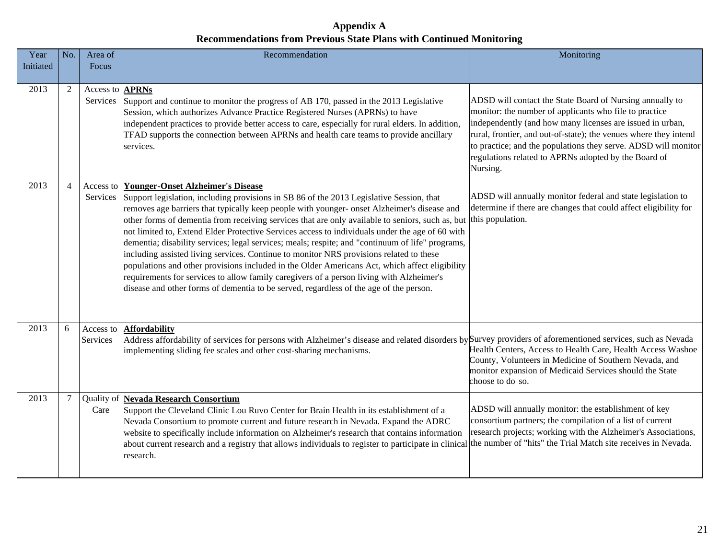**Appendix A Recommendations from Previous State Plans with Continued Monitoring** 

| Year      | No.            | Area of                            | Recommendation                                                                                                                                                                                                                                                                                                                                                                                                                                                                                                                                                                                                                                                                                                                                                                                                                                                                                                                       | Monitoring                                                                                                                                                                                                                                                                                                                                                                                |
|-----------|----------------|------------------------------------|--------------------------------------------------------------------------------------------------------------------------------------------------------------------------------------------------------------------------------------------------------------------------------------------------------------------------------------------------------------------------------------------------------------------------------------------------------------------------------------------------------------------------------------------------------------------------------------------------------------------------------------------------------------------------------------------------------------------------------------------------------------------------------------------------------------------------------------------------------------------------------------------------------------------------------------|-------------------------------------------------------------------------------------------------------------------------------------------------------------------------------------------------------------------------------------------------------------------------------------------------------------------------------------------------------------------------------------------|
| Initiated |                | Focus                              |                                                                                                                                                                                                                                                                                                                                                                                                                                                                                                                                                                                                                                                                                                                                                                                                                                                                                                                                      |                                                                                                                                                                                                                                                                                                                                                                                           |
|           |                |                                    |                                                                                                                                                                                                                                                                                                                                                                                                                                                                                                                                                                                                                                                                                                                                                                                                                                                                                                                                      |                                                                                                                                                                                                                                                                                                                                                                                           |
| 2013      | $\overline{2}$ | Access to <b>APRNs</b><br>Services | Support and continue to monitor the progress of AB 170, passed in the 2013 Legislative<br>Session, which authorizes Advance Practice Registered Nurses (APRNs) to have<br>independent practices to provide better access to care, especially for rural elders. In addition,<br>TFAD supports the connection between APRNs and health care teams to provide ancillary<br>services.                                                                                                                                                                                                                                                                                                                                                                                                                                                                                                                                                    | ADSD will contact the State Board of Nursing annually to<br>monitor: the number of applicants who file to practice<br>independently (and how many licenses are issued in urban,<br>rural, frontier, and out-of-state); the venues where they intend<br>to practice; and the populations they serve. ADSD will monitor<br>regulations related to APRNs adopted by the Board of<br>Nursing. |
| 2013      | 4              | Services                           | Access to Younger-Onset Alzheimer's Disease<br>Support legislation, including provisions in SB 86 of the 2013 Legislative Session, that<br>removes age barriers that typically keep people with younger- onset Alzheimer's disease and<br>other forms of dementia from receiving services that are only available to seniors, such as, but<br>not limited to, Extend Elder Protective Services access to individuals under the age of 60 with<br>dementia; disability services; legal services; meals; respite; and "continuum of life" programs,<br>including assisted living services. Continue to monitor NRS provisions related to these<br>populations and other provisions included in the Older Americans Act, which affect eligibility<br>requirements for services to allow family caregivers of a person living with Alzheimer's<br>disease and other forms of dementia to be served, regardless of the age of the person. | ADSD will annually monitor federal and state legislation to<br>determine if there are changes that could affect eligibility for<br>this population.                                                                                                                                                                                                                                       |
| 2013      | 6              | Access to<br>Services              | <b>Affordability</b><br>Address affordability of services for persons with Alzheimer's disease and related disorders by Survey providers of aforementioned services, such as Nevada<br>implementing sliding fee scales and other cost-sharing mechanisms.                                                                                                                                                                                                                                                                                                                                                                                                                                                                                                                                                                                                                                                                            | Health Centers, Access to Health Care, Health Access Washoe<br>County, Volunteers in Medicine of Southern Nevada, and<br>monitor expansion of Medicaid Services should the State<br>choose to do so.                                                                                                                                                                                      |
| 2013      | 7              | Care                               | Quality of Nevada Research Consortium<br>Support the Cleveland Clinic Lou Ruvo Center for Brain Health in its establishment of a<br>Nevada Consortium to promote current and future research in Nevada. Expand the ADRC<br>website to specifically include information on Alzheimer's research that contains information<br>about current research and a registry that allows individuals to register to participate in clinical the number of "hits" the Trial Match site receives in Nevada.<br>research.                                                                                                                                                                                                                                                                                                                                                                                                                          | ADSD will annually monitor: the establishment of key<br>consortium partners; the compilation of a list of current<br>research projects; working with the Alzheimer's Associations,                                                                                                                                                                                                        |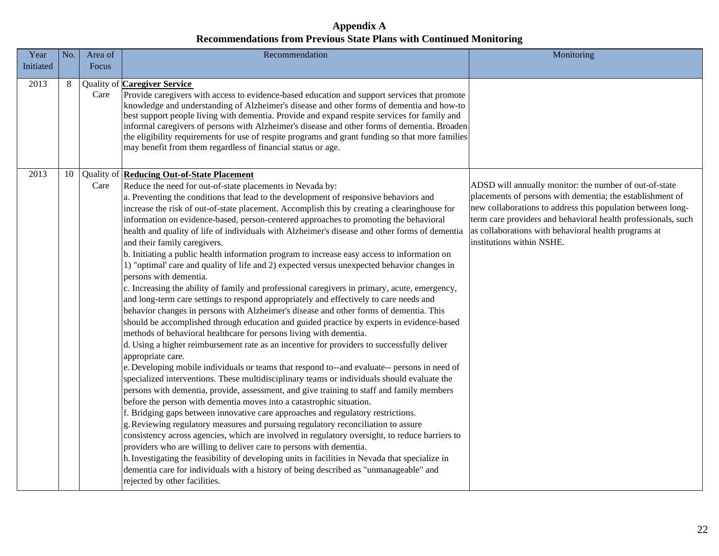## **Appendix A Recommendations from Previous State Plans with Continued Monitoring**

| Year      | No. | Area of | Recommendation                                                                                                                                                                                                                                                                                                                                                                                                                                                                                                                                                                                                                                                                                                                                                                                                                                                                                                                                                                                                                                                                                                                                                                                                                                                                                                                                                                                                                                                                                                                                                                                                                                                                                                                                                                                                                                                                                                                                                                                                                                                                                                                                                                                                                                                                           | Monitoring                                                                                                                                                                                                                                                                                                                               |
|-----------|-----|---------|------------------------------------------------------------------------------------------------------------------------------------------------------------------------------------------------------------------------------------------------------------------------------------------------------------------------------------------------------------------------------------------------------------------------------------------------------------------------------------------------------------------------------------------------------------------------------------------------------------------------------------------------------------------------------------------------------------------------------------------------------------------------------------------------------------------------------------------------------------------------------------------------------------------------------------------------------------------------------------------------------------------------------------------------------------------------------------------------------------------------------------------------------------------------------------------------------------------------------------------------------------------------------------------------------------------------------------------------------------------------------------------------------------------------------------------------------------------------------------------------------------------------------------------------------------------------------------------------------------------------------------------------------------------------------------------------------------------------------------------------------------------------------------------------------------------------------------------------------------------------------------------------------------------------------------------------------------------------------------------------------------------------------------------------------------------------------------------------------------------------------------------------------------------------------------------------------------------------------------------------------------------------------------------|------------------------------------------------------------------------------------------------------------------------------------------------------------------------------------------------------------------------------------------------------------------------------------------------------------------------------------------|
| Initiated |     | Focus   |                                                                                                                                                                                                                                                                                                                                                                                                                                                                                                                                                                                                                                                                                                                                                                                                                                                                                                                                                                                                                                                                                                                                                                                                                                                                                                                                                                                                                                                                                                                                                                                                                                                                                                                                                                                                                                                                                                                                                                                                                                                                                                                                                                                                                                                                                          |                                                                                                                                                                                                                                                                                                                                          |
| 2013      | 8   | Care    | <b>Quality of Caregiver Service</b><br>Provide caregivers with access to evidence-based education and support services that promote<br>knowledge and understanding of Alzheimer's disease and other forms of dementia and how-to<br>best support people living with dementia. Provide and expand respite services for family and<br>informal caregivers of persons with Alzheimer's disease and other forms of dementia. Broaden<br>the eligibility requirements for use of respite programs and grant funding so that more families<br>may benefit from them regardless of financial status or age.                                                                                                                                                                                                                                                                                                                                                                                                                                                                                                                                                                                                                                                                                                                                                                                                                                                                                                                                                                                                                                                                                                                                                                                                                                                                                                                                                                                                                                                                                                                                                                                                                                                                                     |                                                                                                                                                                                                                                                                                                                                          |
| 2013      | 10  | Care    | Quality of <b>Reducing Out-of-State Placement</b><br>Reduce the need for out-of-state placements in Nevada by:<br>a. Preventing the conditions that lead to the development of responsive behaviors and<br>increase the risk of out-of-state placement. Accomplish this by creating a clearinghouse for<br>information on evidence-based, person-centered approaches to promoting the behavioral<br>health and quality of life of individuals with Alzheimer's disease and other forms of dementia<br>and their family caregivers.<br>b. Initiating a public health information program to increase easy access to information on<br>1) "optimal' care and quality of life and 2) expected versus unexpected behavior changes in<br>persons with dementia.<br>c. Increasing the ability of family and professional caregivers in primary, acute, emergency,<br>and long-term care settings to respond appropriately and effectively to care needs and<br>behavior changes in persons with Alzheimer's disease and other forms of dementia. This<br>should be accomplished through education and guided practice by experts in evidence-based<br>methods of behavioral healthcare for persons living with dementia.<br>d. Using a higher reimbursement rate as an incentive for providers to successfully deliver<br>appropriate care.<br>e. Developing mobile individuals or teams that respond to--and evaluate-- persons in need of<br>specialized interventions. These multidisciplinary teams or individuals should evaluate the<br>persons with dementia, provide, assessment, and give training to staff and family members<br>before the person with dementia moves into a catastrophic situation.<br>f. Bridging gaps between innovative care approaches and regulatory restrictions.<br>g. Reviewing regulatory measures and pursuing regulatory reconciliation to assure<br>consistency across agencies, which are involved in regulatory oversight, to reduce barriers to<br>providers who are willing to deliver care to persons with dementia.<br>h. Investigating the feasibility of developing units in facilities in Nevada that specialize in<br>dementia care for individuals with a history of being described as "unmanageable" and<br>rejected by other facilities. | ADSD will annually monitor: the number of out-of-state<br>placements of persons with dementia; the establishment of<br>new collaborations to address this population between long-<br>term care providers and behavioral health professionals, such<br>as collaborations with behavioral health programs at<br>institutions within NSHE. |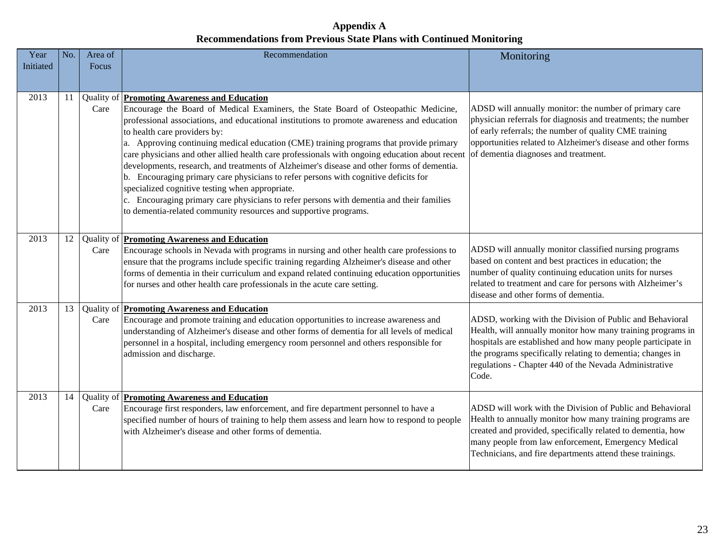**Appendix A Recommendations from Previous State Plans with Continued Monitoring** 

| Year<br>Initiated | No. | Area of<br>Focus | Recommendation                                                                                                                                                                                                                                                                                                                                                                                                                                                                                                                                                                                                                                                                                                                                                                                                                                                              | Monitoring                                                                                                                                                                                                                                                                                                               |
|-------------------|-----|------------------|-----------------------------------------------------------------------------------------------------------------------------------------------------------------------------------------------------------------------------------------------------------------------------------------------------------------------------------------------------------------------------------------------------------------------------------------------------------------------------------------------------------------------------------------------------------------------------------------------------------------------------------------------------------------------------------------------------------------------------------------------------------------------------------------------------------------------------------------------------------------------------|--------------------------------------------------------------------------------------------------------------------------------------------------------------------------------------------------------------------------------------------------------------------------------------------------------------------------|
|                   |     |                  |                                                                                                                                                                                                                                                                                                                                                                                                                                                                                                                                                                                                                                                                                                                                                                                                                                                                             |                                                                                                                                                                                                                                                                                                                          |
| 2013              | 11  | Care             | Quality of <b>Promoting Awareness and Education</b><br>Encourage the Board of Medical Examiners, the State Board of Osteopathic Medicine,<br>professional associations, and educational institutions to promote awareness and education<br>to health care providers by:<br>a. Approving continuing medical education (CME) training programs that provide primary<br>care physicians and other allied health care professionals with ongoing education about recent<br>developments, research, and treatments of Alzheimer's disease and other forms of dementia.<br>b. Encouraging primary care physicians to refer persons with cognitive deficits for<br>specialized cognitive testing when appropriate.<br>c. Encouraging primary care physicians to refer persons with dementia and their families<br>to dementia-related community resources and supportive programs. | ADSD will annually monitor: the number of primary care<br>physician referrals for diagnosis and treatments; the number<br>of early referrals; the number of quality CME training<br>opportunities related to Alzheimer's disease and other forms<br>of dementia diagnoses and treatment.                                 |
| 2013              | 12  | Care             | Quality of <b>Promoting Awareness and Education</b><br>Encourage schools in Nevada with programs in nursing and other health care professions to<br>ensure that the programs include specific training regarding Alzheimer's disease and other<br>forms of dementia in their curriculum and expand related continuing education opportunities<br>for nurses and other health care professionals in the acute care setting.                                                                                                                                                                                                                                                                                                                                                                                                                                                  | ADSD will annually monitor classified nursing programs<br>based on content and best practices in education; the<br>number of quality continuing education units for nurses<br>related to treatment and care for persons with Alzheimer's<br>disease and other forms of dementia.                                         |
| 2013              | 13  | Care             | Quality of <b>Promoting Awareness and Education</b><br>Encourage and promote training and education opportunities to increase awareness and<br>understanding of Alzheimer's disease and other forms of dementia for all levels of medical<br>personnel in a hospital, including emergency room personnel and others responsible for<br>admission and discharge.                                                                                                                                                                                                                                                                                                                                                                                                                                                                                                             | ADSD, working with the Division of Public and Behavioral<br>Health, will annually monitor how many training programs in<br>hospitals are established and how many people participate in<br>the programs specifically relating to dementia; changes in<br>regulations - Chapter 440 of the Nevada Administrative<br>Code. |
| 2013              | 14  | Care             | Quality of <b>Promoting Awareness and Education</b><br>Encourage first responders, law enforcement, and fire department personnel to have a<br>specified number of hours of training to help them assess and learn how to respond to people<br>with Alzheimer's disease and other forms of dementia.                                                                                                                                                                                                                                                                                                                                                                                                                                                                                                                                                                        | ADSD will work with the Division of Public and Behavioral<br>Health to annually monitor how many training programs are<br>created and provided, specifically related to dementia, how<br>many people from law enforcement, Emergency Medical<br>Technicians, and fire departments attend these trainings.                |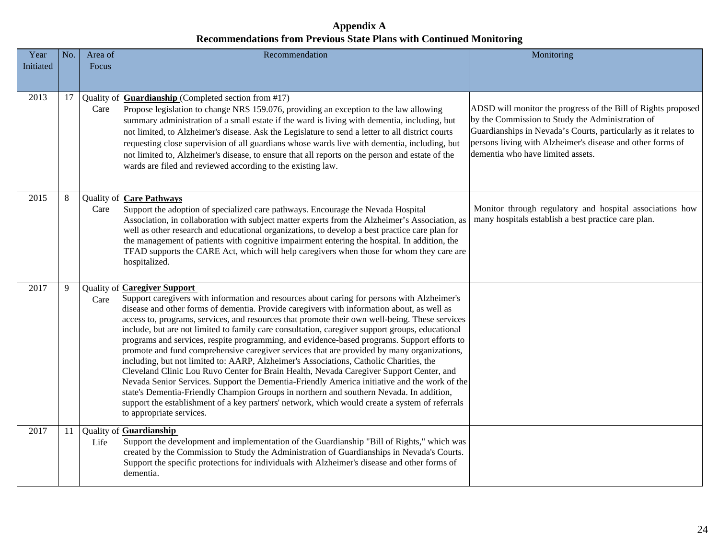## **Appendix A Recommendations from Previous State Plans with Continued Monitoring**

| Year<br>Initiated | No. | Area of<br>Focus | Recommendation                                                                                                                                                                                                                                                                                                                                                                                                                                                                                                                                                                                                                                                                                                                                                                                                                                                                                                                                                                                                                                                                                                                                   | Monitoring                                                                                                                                                                                                                                                                              |
|-------------------|-----|------------------|--------------------------------------------------------------------------------------------------------------------------------------------------------------------------------------------------------------------------------------------------------------------------------------------------------------------------------------------------------------------------------------------------------------------------------------------------------------------------------------------------------------------------------------------------------------------------------------------------------------------------------------------------------------------------------------------------------------------------------------------------------------------------------------------------------------------------------------------------------------------------------------------------------------------------------------------------------------------------------------------------------------------------------------------------------------------------------------------------------------------------------------------------|-----------------------------------------------------------------------------------------------------------------------------------------------------------------------------------------------------------------------------------------------------------------------------------------|
|                   |     |                  |                                                                                                                                                                                                                                                                                                                                                                                                                                                                                                                                                                                                                                                                                                                                                                                                                                                                                                                                                                                                                                                                                                                                                  |                                                                                                                                                                                                                                                                                         |
| 2013              | 17  | Care             | Quality of $Guar dianship$ (Completed section from #17)<br>Propose legislation to change NRS 159.076, providing an exception to the law allowing<br>summary administration of a small estate if the ward is living with dementia, including, but<br>not limited, to Alzheimer's disease. Ask the Legislature to send a letter to all district courts<br>requesting close supervision of all guardians whose wards live with dementia, including, but<br>not limited to, Alzheimer's disease, to ensure that all reports on the person and estate of the<br>wards are filed and reviewed according to the existing law.                                                                                                                                                                                                                                                                                                                                                                                                                                                                                                                           | ADSD will monitor the progress of the Bill of Rights proposed<br>by the Commission to Study the Administration of<br>Guardianships in Nevada's Courts, particularly as it relates to<br>persons living with Alzheimer's disease and other forms of<br>dementia who have limited assets. |
| 2015              | 8   | Care             | Quality of <b>Care Pathways</b><br>Support the adoption of specialized care pathways. Encourage the Nevada Hospital<br>Association, in collaboration with subject matter experts from the Alzheimer's Association, as<br>well as other research and educational organizations, to develop a best practice care plan for<br>the management of patients with cognitive impairment entering the hospital. In addition, the<br>TFAD supports the CARE Act, which will help caregivers when those for whom they care are<br>hospitalized.                                                                                                                                                                                                                                                                                                                                                                                                                                                                                                                                                                                                             | Monitor through regulatory and hospital associations how<br>many hospitals establish a best practice care plan.                                                                                                                                                                         |
| 2017              | 9   | Care             | <b>Quality of Caregiver Support</b><br>Support caregivers with information and resources about caring for persons with Alzheimer's<br>disease and other forms of dementia. Provide caregivers with information about, as well as<br>access to, programs, services, and resources that promote their own well-being. These services<br>include, but are not limited to family care consultation, caregiver support groups, educational<br>programs and services, respite programming, and evidence-based programs. Support efforts to<br>promote and fund comprehensive caregiver services that are provided by many organizations,<br>including, but not limited to: AARP, Alzheimer's Associations, Catholic Charities, the<br>Cleveland Clinic Lou Ruvo Center for Brain Health, Nevada Caregiver Support Center, and<br>Nevada Senior Services. Support the Dementia-Friendly America initiative and the work of the<br>state's Dementia-Friendly Champion Groups in northern and southern Nevada. In addition,<br>support the establishment of a key partners' network, which would create a system of referrals<br>to appropriate services. |                                                                                                                                                                                                                                                                                         |
| 2017              | 11  | Life             | Quality of Guardianship<br>Support the development and implementation of the Guardianship "Bill of Rights," which was<br>created by the Commission to Study the Administration of Guardianships in Nevada's Courts.<br>Support the specific protections for individuals with Alzheimer's disease and other forms of<br>dementia.                                                                                                                                                                                                                                                                                                                                                                                                                                                                                                                                                                                                                                                                                                                                                                                                                 |                                                                                                                                                                                                                                                                                         |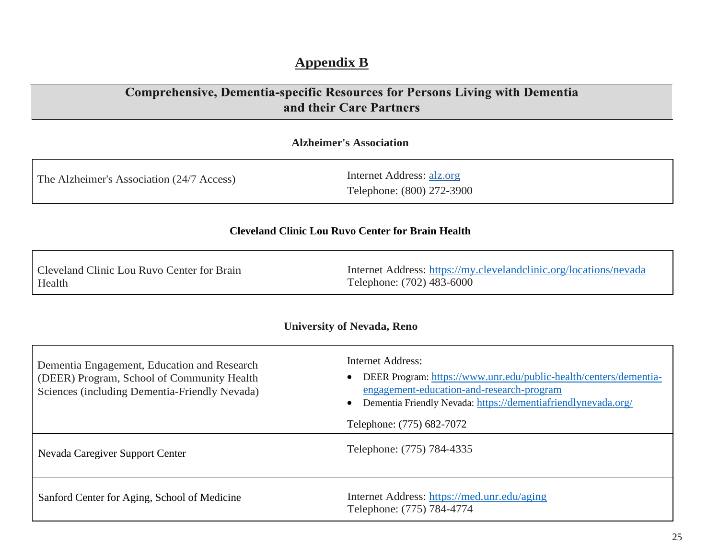## **Appendix B**

## Comprehensive, Dementia-specific Resources for Persons Living with Dementia and their Care Partners

## **Alzheimer's Association**

| The Alzheimer's Association (24/7 Access) | Internet Address: alz.org<br>Telephone: (800) 272-3900 |
|-------------------------------------------|--------------------------------------------------------|
|-------------------------------------------|--------------------------------------------------------|

## **Cleveland Clinic Lou Ruvo Center for Brain Health**

| Cleveland Clinic Lou Ruvo Center for Brain | I Internet Address: https://my.clevelandclinic.org/locations/nevada |
|--------------------------------------------|---------------------------------------------------------------------|
| Health                                     | Telephone: (702) 483-6000                                           |

## **University of Nevada, Reno**

| Dementia Engagement, Education and Research<br>(DEER) Program, School of Community Health<br>Sciences (including Dementia-Friendly Nevada) | <b>Internet Address:</b><br>DEER Program: https://www.unr.edu/public-health/centers/dementia-<br>engagement-education-and-research-program<br>Dementia Friendly Nevada: https://dementiafriendlynevada.org/<br>Telephone: (775) 682-7072 |
|--------------------------------------------------------------------------------------------------------------------------------------------|------------------------------------------------------------------------------------------------------------------------------------------------------------------------------------------------------------------------------------------|
| Nevada Caregiver Support Center                                                                                                            | Telephone: (775) 784-4335                                                                                                                                                                                                                |
| Sanford Center for Aging, School of Medicine                                                                                               | Internet Address: https://med.unr.edu/aging<br>Telephone: (775) 784-4774                                                                                                                                                                 |